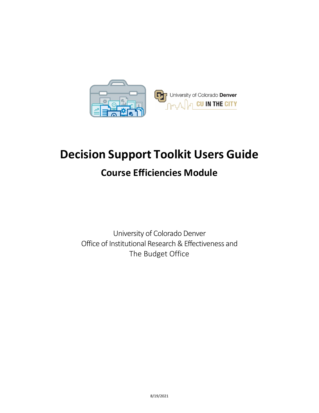

## **Decision Support Toolkit Users Guide**

## **Course Efficiencies Module**

University of Colorado Denver Office of Institutional Research & Effectiveness and The Budget Office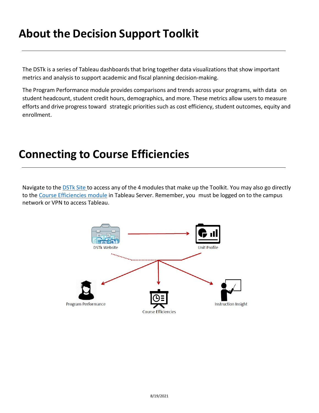## **About the Decision Support Toolkit**

The DSTk is a series of Tableau dashboards that bring together data visualizations that show important metrics and analysis to support academic and fiscal planning decision-making.

The Program Performance module provides comparisons and trends across your programs, with data on student headcount, student credit hours, demographics, and more. These metrics allow users to measure efforts and drive progress toward strategic priorities such as cost efficiency, student outcomes, equity and enrollment.

## **Connecting to Course Efficiencies**

Navigate to the **[DSTk](https://www1.ucdenver.edu/offices/institutional-research-and-effectiveness/decision-support-toolkit) Site to access any of the 4 modules that make up the Toolkit. You may also go directly** to th[e Course Efficiencies module](https://tableau.ucdenver.edu/#/site/University/views/DSTkCourseEfficiencies/CourseEfficiencies-Level-Set?:iid=2) in Tableau Server. Remember, you must be logged on to the campus network or VPN to access Tableau.

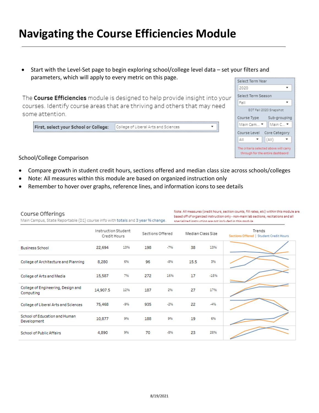## **Navigating the Course Efficiencies Module**

• Start with the Level-Set page to begin exploring school/college level data – set your filters and parameters, which will apply to every metric on this page.

The Course Efficiencies module is designed to help provide insight into your courses. Identify course areas that are thriving and others that may need some attention.

First, select your School or College: College of Liberal Arts and Sciences

| Select Term Year                                                           |
|----------------------------------------------------------------------------|
| 2020                                                                       |
| Select Term Season                                                         |
| Fall                                                                       |
| EOT Fall 2020 Snapshot                                                     |
| Course Type<br>Sub-grouping                                                |
| Main C<br>Main Cam ▼                                                       |
| Core Category<br>Course Level                                              |
| (AII)<br>AΙΙ                                                               |
| The criteria selected above will carry<br>through for the entire dashbaord |

### School/College Comparison

- Compare growth in student credit hours, sections offered and median class size across schools/colleges
- Note: All measures within this module are based on organized instruction only
- Remember to hover over graphs, reference lines, and information icons to see details

| Course Offerings<br>Main Campus, State Reportable (D1) course info with totals and 3 year % change. |                                     |       |                  |       |                   | Note: All measures (credit hours, section counts, fill rates, etc) within this module are<br>based off of organized instruction only - non-main lab sections, recitations and all<br>specialized instruction are not included in this module. |                                                   |
|-----------------------------------------------------------------------------------------------------|-------------------------------------|-------|------------------|-------|-------------------|-----------------------------------------------------------------------------------------------------------------------------------------------------------------------------------------------------------------------------------------------|---------------------------------------------------|
|                                                                                                     | Instruction Student<br>Credit Hours |       | Sections Offered |       | Median Class Size |                                                                                                                                                                                                                                               | Trends<br>Sections Offered   Student Credit Hours |
| <b>Business School</b>                                                                              | 22,694                              | 13%   | 198              | $-7%$ | 38                | 13%                                                                                                                                                                                                                                           |                                                   |
| College of Architecture and Planning                                                                | 8,280                               | 6%    | 96               | $-8%$ | 15.5              | 3%                                                                                                                                                                                                                                            |                                                   |
| College of Arts and Media                                                                           | 15,587                              | 7%    | 272              | 16%   | 17                | $-15%$                                                                                                                                                                                                                                        |                                                   |
| College of Engineering, Design and<br>Computing                                                     | 14,907.5                            | 12%   | 187              | 2%    | 27                | 17%                                                                                                                                                                                                                                           |                                                   |
| College of Liberal Arts and Sciences                                                                | 75,468                              | $-9%$ | 935              | $-2%$ | 22                | $-496$                                                                                                                                                                                                                                        |                                                   |
| <b>School of Education and Human</b><br>Development                                                 | 10,877                              | 9%    | 188              | 9%    | 19                | 6%                                                                                                                                                                                                                                            |                                                   |
| <b>School of Public Affairs</b>                                                                     | 4,890                               | 9%    | 70               | $-5%$ | 23                | 28%                                                                                                                                                                                                                                           |                                                   |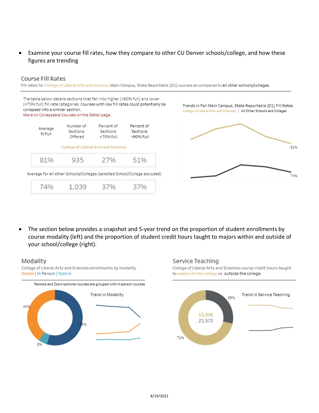## • Examine your course fill rates, how they compare to other CU Denver schools/college, and how these figures are trending

### Course Fill Rates

Fill rates for College of Liberal Arts and Sciences Main Campus, State Reportable (D1) courses as compared to all other schools/colleges.

The table below details sections that fall into higher (>90% full) and lower (<70% full) fill rate categories. Courses with low fill rates could potentially be collapsed into a similar section. More on Collapsable Courses on the Detail page.



Trends in Fall Main Campus, State Reportable (D1) Fill Rates College of Liberal Arts and Sciences | All Other Schools and Colleges



• The section below provides a snapshot and 5-year trend on the proportion of student enrollments by course modality (left) and the proportion of student credit hours taught to majors within and outside of your school/college (right).

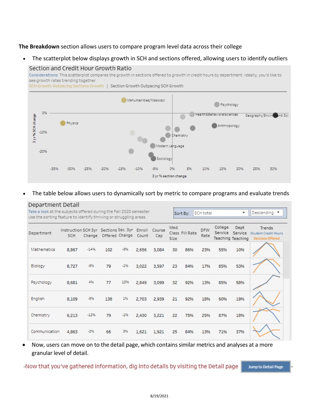### **The Breakdown** section allows users to compare program level data across their college

• The scatterplot below displays growth in SCH and sections offered, allowing users to identify outliers



• The table below allows users to dynamically sort by metric to compare programs and evaluate trends

| Department Detail<br>Take a look at the subjects offered during the Fall 2020 semester.<br>Use the sorting feature to identify thriving or struggling areas. |                                                            |        |                       |       |       | SCH total<br>$\overline{\phantom{a}}$<br>Sort Bv: |              |                 |                    |                    | Descendina                |                                                                   |
|--------------------------------------------------------------------------------------------------------------------------------------------------------------|------------------------------------------------------------|--------|-----------------------|-------|-------|---------------------------------------------------|--------------|-----------------|--------------------|--------------------|---------------------------|-------------------------------------------------------------------|
| Department                                                                                                                                                   | Instruction SCH 3yr Sections Sec. 3yr Enroll Course<br>SCH |        | Change Offered Change |       | Count | Cap                                               | Med.<br>Size | Class Fill Rate | <b>DFW</b><br>Rate | College<br>Service | Dept<br>Teaching Teaching | Trends<br>Service Student Credit Hours<br><b>Sections Offered</b> |
| Mathematics                                                                                                                                                  | 8,867                                                      | $-14%$ | 102                   | $-8%$ | 2.656 | 3,084                                             | 30           | 86%             | 23%                | 55%                | 10%                       |                                                                   |
| Biology                                                                                                                                                      | 8,727                                                      | $-8%$  | 79                    | $-1%$ | 3,022 | 3,597                                             | 23           | 84%             | 17%                | 85%                | 53%                       |                                                                   |
| Psychology                                                                                                                                                   | 8,681                                                      | 4%     | 77                    | 13%   | 2,849 | 3,099                                             | 32           | 92%             | 13%                | 85%                | 58%                       |                                                                   |
| English                                                                                                                                                      | 8,109                                                      | $-8%$  | 138                   | 1%    | 2,703 | 2,939                                             | 21           | 92%             | 18%                | 60%                | 19%                       |                                                                   |
| Chemistry                                                                                                                                                    | 6,213                                                      | $-12%$ | 79                    | $-1%$ | 2,430 | 3,221                                             | 22           | 75%             | 25%                | 87%                | 18%                       |                                                                   |
| Communication                                                                                                                                                | 4,863                                                      | $-2%$  | 66                    | 3%    | 1,621 | 1,921                                             | 25           | 84%             | 13%                | 71%                | 37%                       |                                                                   |

• Now, users can move on to the detail page, which contains similar metrics and analyses at a more granular level of detail.

-Now that you've gathered information, dig into details by visiting the Detail page

Jump to Detail Page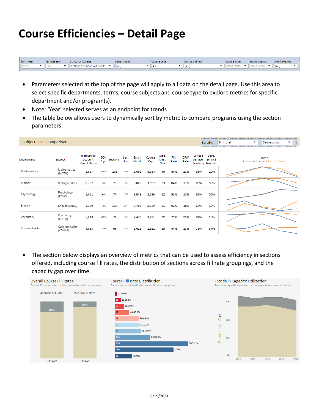# **Course Efficiencies – Detail Page**

| Term Year<br>Term Season<br><b>School or College</b><br>Course Type<br><b>Course Subject</b><br>Iourse Level<br>Sub-grouping<br>mepartment.<br>2020<br>l Fall<br><b>LAIL</b><br>College of Liberal Arts and S 1<br>ilain Camp<br>m Main Camp<br>uai<br>нш |  |  |  |  |  |                      |
|-----------------------------------------------------------------------------------------------------------------------------------------------------------------------------------------------------------------------------------------------------------|--|--|--|--|--|----------------------|
|                                                                                                                                                                                                                                                           |  |  |  |  |  | <b>Core Category</b> |
|                                                                                                                                                                                                                                                           |  |  |  |  |  |                      |

- Parameters selected at the top of the page will apply to all data on the detail page. Use this area to select specific departments, terms, course subjects and course type to explore metrics for specific department and/or program(s).
- Note: 'Year' selected serves as an endpoint for trends
- The table below allows users to dynamically sort by metric to compare programs using the section parameters.

| Subject Level Comparison |                         |                                               |                    |          |              |                 |               |                       |              |                    |                    | Sort By:                                     | <b>SCH total</b><br>Descending<br>$\overline{\phantom{a}}$<br>$\overline{\phantom{a}}$ |
|--------------------------|-------------------------|-----------------------------------------------|--------------------|----------|--------------|-----------------|---------------|-----------------------|--------------|--------------------|--------------------|----------------------------------------------|----------------------------------------------------------------------------------------|
| Department               | Subject                 | Instruction<br>Student<br><b>Credit Hours</b> | <b>SCH</b><br>3 yr | Sections | Sec.<br>3 yr | Enroll<br>Count | Course<br>Cap | Med.<br>Class<br>Size | Fill<br>Rate | <b>DFW</b><br>Rate | College<br>Service | Dept.<br>Service<br><b>Teaching Teaching</b> | Trend<br>Student Credit Hours   Sections Offered                                       |
| Mathematics              | Mathematics<br>(MATH)   | 8,867                                         | $-14%$             | 102      | $-7%$        | 2,656           | 3,084         | 30                    | 86%          | 23%                | 55%                | 10%                                          |                                                                                        |
| Biology                  | Biology (BIOL)          | 8,727                                         | $-8%$              | 79       | $-1%$        | 3,022           | 3,597         | 23                    | 84%          | 17%                | 85%                | 53%                                          |                                                                                        |
| Psychology               | Psychology<br>(PSYC)    | 8,681                                         | 4%                 | 77       | 13%          | 2,849           | 3,099         | 32                    | 92%          | 13%                | 85%                | 58%                                          |                                                                                        |
| English                  | English (ENGL)          | 8,109                                         | $-8%$              | 138      | 1%           | 2,703           | 2,939         | 21                    | 92%          | 18%                | 60%                | 19%                                          |                                                                                        |
| Chemistry                | Chemistry<br>(CHEM)     | 6,213                                         | $-12%$             | 79       | $-1%$        | 2,430           | 3,221         | 22                    | 75%          | 25%                | 87%                | 18%                                          |                                                                                        |
| Communication            | Communication<br>(COMM) | 4,863                                         | $-2%$              | 66       | 3%           | 1,621           | 1,921         | 25                    | 84%          | 13%                | 71%                | 37%                                          |                                                                                        |

• The section below displays an overview of metrics that can be used to assess efficiency in sections offered, including course fill rates, the distribution of sections across fill rate groupings, and the capacity gap over time.

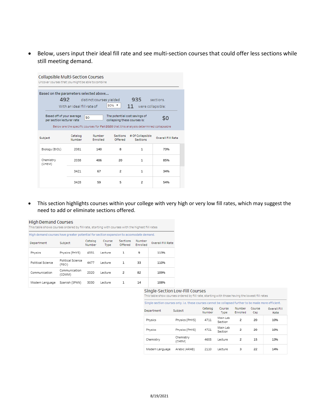• Below, users input their ideal fill rate and see multi-section courses that could offer less sections while still meeting demand.

|                                                                                              | Collapsible Multi-Section Courses<br>Uncover courses that you might be able to combine |                           |                                                               |                                                                                        |                          |  |  |  |  |  |  |  |  |
|----------------------------------------------------------------------------------------------|----------------------------------------------------------------------------------------|---------------------------|---------------------------------------------------------------|----------------------------------------------------------------------------------------|--------------------------|--|--|--|--|--|--|--|--|
| Based on the parameters selected above<br>492<br>935<br>distinct courses yielded<br>sections |                                                                                        |                           |                                                               |                                                                                        |                          |  |  |  |  |  |  |  |  |
|                                                                                              | With an ideal fill rate of                                                             |                           | $9096$ $\blacktriangledown$                                   | 11<br>were collapsible:                                                                |                          |  |  |  |  |  |  |  |  |
| Based off of your average<br>per section lecturer rate                                       |                                                                                        | \$0                       | The potential cost savings of<br>collapsing these courses is: | Below are the specific courses for Fall 2020 that this analysis determined collapsable | \$0                      |  |  |  |  |  |  |  |  |
| Subject                                                                                      | Catalog<br>Number                                                                      | Number<br><b>Enrolled</b> | <b>Sections</b><br>Offered                                    | # Of Collapsible<br><b>Sections</b>                                                    | <b>Overall Fill Rate</b> |  |  |  |  |  |  |  |  |
| Biology (BIOL)                                                                               | 2081                                                                                   | 140                       | 8                                                             | 1                                                                                      | 73%                      |  |  |  |  |  |  |  |  |
| Chemistry<br>(CHEM)                                                                          | 2038                                                                                   | 406                       | 20                                                            | $\mathbf{1}$                                                                           | 85%                      |  |  |  |  |  |  |  |  |
|                                                                                              | 3421                                                                                   | 67                        | 2                                                             | 1                                                                                      | 34%                      |  |  |  |  |  |  |  |  |
|                                                                                              | 3428                                                                                   | 59                        | 5                                                             | 2                                                                                      | 54%                      |  |  |  |  |  |  |  |  |

• This section highlights courses within your college with very high or very low fill rates, which may suggest the need to add or eliminate sections offered.

| <b>High Demand Courses</b><br>This table shows courses ordered by fill rate, starting with courses with the highest fill rates |                             |                   |                       |                            |                    |                          |  |  |  |  |  |
|--------------------------------------------------------------------------------------------------------------------------------|-----------------------------|-------------------|-----------------------|----------------------------|--------------------|--------------------------|--|--|--|--|--|
| High demand courses have greater potential for section expansion to accomodate demand.                                         |                             |                   |                       |                            |                    |                          |  |  |  |  |  |
| Department                                                                                                                     | Subject                     | Catalog<br>Number | Course<br><b>Type</b> | <b>Sections</b><br>Offered | Number<br>Enrolled | <b>Overall Fill Rate</b> |  |  |  |  |  |
| Physics                                                                                                                        | Physics (PHYS)              | 4331              | Lecture               | 1                          | 9                  | 113%                     |  |  |  |  |  |
| Political Science                                                                                                              | Political Science<br>(PSCI) | 4477              | Lecture               | $\mathbf{1}$               | 33                 | 110%                     |  |  |  |  |  |
| Communication                                                                                                                  | Communication<br>(COMM)     | 2020              | Lecture               | 2                          | 82                 | 109%                     |  |  |  |  |  |
| Modern Language                                                                                                                | Spanish (SPAN)              | 3030              | Lecture               | 1                          | 14                 | 108%                     |  |  |  |  |  |

#### Single-Section Low-Fill Courses

This table show courses ordered by fill rate, starting with those having the lowest fill rates

| Single-section courses only, i.e. these courses cannot be collapsed further to be made more efficient. |                     |                   |                     |                    |               |                             |
|--------------------------------------------------------------------------------------------------------|---------------------|-------------------|---------------------|--------------------|---------------|-----------------------------|
| Department                                                                                             | Subject             | Catalog<br>Number | Course<br>Type      | Number<br>Enrolled | Course<br>Cap | <b>Overall Fill</b><br>Rate |
| Physics                                                                                                | Physics (PHYS)      | 4711              | Main Lab<br>Section | 2                  | 20            | 10%                         |
| Physics                                                                                                | Physics (PHYS)      | 4721              | Main Lab<br>Section | 2                  | 20            | 10%                         |
| Chemistry                                                                                              | Chemistry<br>(CHEM) | 4655              | Lecture             | 2                  | 15            | 13%                         |
| Modern Language                                                                                        | Arabic (ARAB)       | 2110              | Lecture             | 3                  | 22            | 14%                         |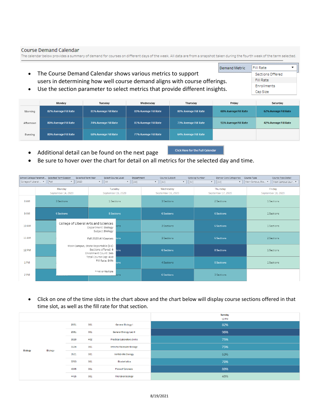### **Course Demand Calendar**

The calendar below provides a summary of demand for courses on different days of the week. All data are from a snapshot taken during the fourth week of the term selected.

- Demand Metric • The Course Demand Calendar shows various metrics to support users in determining how well course demand aligns with course offerings.
- **Fill Rate** Sections Offered Fill Rate Enrollments Cap Size
- Use the section parameter to select metrics that provide different insights.

|           | Monday                | Tuesday               | Wednesday             | Thursday              | Friday                | Saturday              |
|-----------|-----------------------|-----------------------|-----------------------|-----------------------|-----------------------|-----------------------|
| Morning   | 82% Average Fill Rate | 81% Average Fill Rate | 83% Average Fill Rate | 80% Average Fill Rate | 60% Average Fill Rate | 62% Average Fill Rate |
| Afternoon | 80% Average Fill Rate | 74% Average Fill Rate | 81% Average Fill Rate | 73% Average Fill Rate | 51% Average Fill Rate | 42% Average Fill Rate |
| Evening   | 80% Average Fill Rate | 68% Average Fill Rate | 77% Average Fill Rate | 64% Average Fill Rate |                       |                       |

Click Here for the Full Calendar

- Additional detail can be found on the next page
	- Be sure to hover over the chart for detail on all metrics for the selected day and time.

| School College Paramet |                   | Selected Term Season<br>Selected Term Year                                         | Select Course Level                     | Department                       | Course Subject                                    | Catalog Number<br>Denver Core Categories             | Course Type Detail<br>Course Type      |
|------------------------|-------------------|------------------------------------------------------------------------------------|-----------------------------------------|----------------------------------|---------------------------------------------------|------------------------------------------------------|----------------------------------------|
| College of Liberal  ▼  | Fall              | 2020<br>$\overline{\phantom{a}}$                                                   | All<br>$\boldsymbol{\mathrm{v}}$        | $\overline{\mathbf{v}}$<br>(AII) | (AII)<br>$-$<br>(AII)<br>$\overline{\phantom{a}}$ | (AII)<br>$\mathbf{v}$ .<br>$\boldsymbol{\mathrm{v}}$ | Main Campus, Sta v<br>Main Campus Cour |
|                        |                   | Monday<br>September 14, 2020                                                       | Tuesday<br>September 15, 2020           |                                  | Wednesday<br>September 16, 2020                   | Thursday<br>September 17, 2020                       | Friday<br>September 18, 2020           |
| 8 AM                   | 3 Sections        |                                                                                    |                                         | 1 Sections                       | 3 Sections                                        | 2 Sections                                           | 1 Sections                             |
| 9 AM                   | <b>6 Sections</b> |                                                                                    |                                         | 5 Sections                       | <b>6 Sections</b>                                 | <b>6 Sections</b>                                    | 1 Sections                             |
| <b>10 AM</b>           |                   | College of Liberal Arts and Sciences<br>Department: Biology<br>Subject:Biology     |                                         | ions                             | 3 Sections                                        | <b>6 Sections</b>                                    | 1 Sections                             |
| <b>11 AM</b>           |                   | Fall 2020 All Courses<br>ions                                                      |                                         |                                  | 3 Sections                                        | <b>6 Sections</b>                                    | 2 Sections                             |
| <b>12 PM</b>           |                   | Main Campus, State Reportable (D1)<br>Sections offered: 6<br>Enrollment Count: 346 |                                         | ions                             | <b>6 Sections</b>                                 | 8 Sections                                           | 1 Sections                             |
| 1 PM                   |                   |                                                                                    | Total Course Cap: 410<br>Fill Rate: 84% | ions                             | 4 Sections                                        | 5 Sections                                           | 1 Sections                             |
| 2 PM                   |                   |                                                                                    | *= All or Multiple                      | ions                             | <b>6 Sections</b>                                 | 3 Sections                                           |                                        |

• Click on one of the time slots in the chart above and the chart below will display course sections offered in that time slot, as well as the fill rate for that section.

|                |         |             |            |                                    | <b>Tuesday</b><br><b>12 PM</b> |
|----------------|---------|-------------|------------|------------------------------------|--------------------------------|
|                |         | 2051        | 001        | General Biology I                  | 82%                            |
|                |         | 001<br>2081 |            | General Biology Lab II             | 96%                            |
|                |         | 3020        | <b>HO2</b> | <b>Practical Laboratory Skills</b> | 75%                            |
| <b>Biology</b> | Biology | 3124        | 001        | Intro to Molecular Biology         | 75%                            |
|                |         | 3521        | 001        | Vertebrate Biology                 | 63%                            |
|                |         | 3763        | 001        | <b>Biostatistics</b>               | 76%                            |
|                |         | 4345        | 001        | <b>Flora of Colorado</b>           | 88%                            |
|                |         | 4415        | 001        | <b>Microbial Ecology</b>           | 48%                            |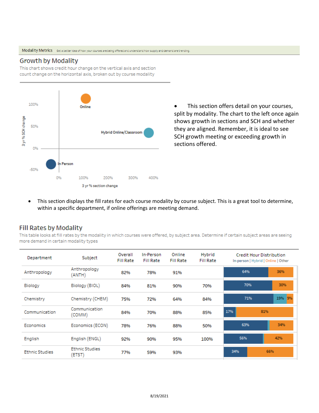### **Growth by Modality**

This chart shows credit hour change on the vertical axis and section count change on the horizontal axis, broken out by course modality



• This section offers detail on your courses, split by modality. The chart to the left once again shows growth in sections and SCH and whether they are aligned. Remember, it is ideal to see SCH growth meeting or exceeding growth in sections offered.

This section displays the fill rates for each course modality by course subject. This is a great tool to determine, within a specific department, if online offerings are meeting demand.

## Fill Rates by Modality

This table looks at fill rates by the modality in which courses were offered, by subject area. Determine if certain subject areas are seeing more demand in certain modality types

| Department            | Subject                         | Overall<br><b>Fill Rate</b> | In-Person<br><b>Fill Rate</b> | Online<br><b>Fill Rate</b> | Hybrid<br><b>Fill Rate</b> |            | <b>Credit Hour Distribution</b><br>In-person   Hybrid   Online   Other |           |
|-----------------------|---------------------------------|-----------------------------|-------------------------------|----------------------------|----------------------------|------------|------------------------------------------------------------------------|-----------|
| Anthropology          | Anthropology<br>(ANTH)          | 82%                         | 78%                           | 91%                        |                            | 64%        |                                                                        | 36%       |
| Biology               | Biology (BIOL)                  | 84%                         | 81%                           | 90%                        | 70%                        |            | 30%<br>70%                                                             |           |
| Chemistry             | Chemistry (CHEM)                | 75%                         | 72%                           | 64%                        | 84%                        | 71%        |                                                                        | 19%<br>9% |
| Communication         | Communication<br>(COMM)         | 84%                         | 70%                           | 88%                        | 85%                        | 17%        | 81%                                                                    |           |
| Economics             | Economics (ECON)                | 78%                         | 76%                           | 88%                        | 50%                        | 63%        |                                                                        | 34%       |
| English               | English (ENGL)                  | 92%                         | 90%                           | 95%                        | 100%                       | 56%        |                                                                        | 42%       |
| <b>Ethnic Studies</b> | <b>Ethnic Studies</b><br>(ETST) | 77%                         | 59%                           | 93%                        |                            | 34%<br>66% |                                                                        |           |